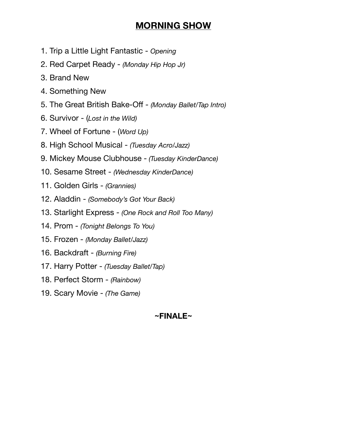# **MORNING SHOW**

- 1. Trip a Little Light Fantastic *Opening*
- 2. Red Carpet Ready *(Monday Hip Hop Jr)*
- 3. Brand New
- 4. Something New
- 5. The Great British Bake-Off *(Monday Ballet/Tap Intro)*
- 6. Survivor (*Lost in the Wild)*
- 7. Wheel of Fortune (*Word Up)*
- 8. High School Musical *(Tuesday Acro/Jazz)*
- 9. Mickey Mouse Clubhouse - *(Tuesday KinderDance)*
- 10. Sesame Street *(Wednesday KinderDance)*
- 11. Golden Girls *(Grannies)*
- 12. Aladdin *(Somebody's Got Your Back)*
- 13. Starlight Express *(One Rock and Roll Too Many)*
- 14. Prom *(Tonight Belongs To You)*
- 15. Frozen *(Monday Ballet/Jazz)*
- 16. Backdraft *(Burning Fire)*
- 17. Harry Potter *(Tuesday Ballet/Tap)*
- 18. Perfect Storm *(Rainbow)*
- 19. Scary Movie *(The Game)*

## **~FINALE~**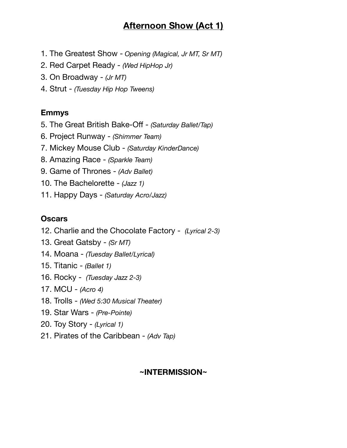# **Afternoon Show (Act 1)**

- 1. The Greatest Show - *Opening (Magical, Jr MT, Sr MT)*
- 2. Red Carpet Ready *(Wed HipHop Jr)*
- 3. On Broadway *(Jr MT)*
- 4. Strut *(Tuesday Hip Hop Tweens)*

### **Emmys**

- 5. The Great British Bake-Off *(Saturday Ballet/Tap)*
- 6. Project Runway *(Shimmer Team)*
- 7. Mickey Mouse Club *(Saturday KinderDance)*
- 8. Amazing Race *(Sparkle Team)*
- 9. Game of Thrones *(Adv Ballet)*
- 10. The Bachelorette *(Jazz 1)*
- 11. Happy Days *(Saturday Acro/Jazz)*

### **Oscars**

- 12. Charlie and the Chocolate Factory *(Lyrical 2-3)*
- 13. Great Gatsby *(Sr MT)*
- 14. Moana *(Tuesday Ballet/Lyrical)*
- 15. Titanic *(Ballet 1)*
- 16. Rocky *(Tuesday Jazz 2-3)*
- 17. MCU *(Acro 4)*
- 18. Trolls *(Wed 5:30 Musical Theater)*
- 19. Star Wars *(Pre-Pointe)*
- 20. Toy Story *(Lyrical 1)*
- 21. Pirates of the Caribbean *(Adv Tap)*

### **~INTERMISSION~**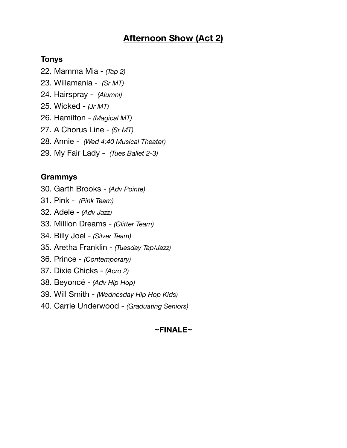## **Afternoon Show (Act 2)**

#### **Tonys**

- 22. Mamma Mia *(Tap 2)*
- 23. Willamania *(Sr MT)*
- 24. Hairspray *(Alumni)*
- 25. Wicked *(Jr MT)*
- 26. Hamilton *(Magical MT)*
- 27. A Chorus Line *(Sr MT)*
- 28. Annie *(Wed 4:40 Musical Theater)*
- 29. My Fair Lady *(Tues Ballet 2-3)*

### **Grammys**

- 30. Garth Brooks *(Adv Pointe)*
- 31. Pink *(Pink Team)*
- 32. Adele *(Adv Jazz)*
- 33. Million Dreams *(Glitter Team)*
- 34. Billy Joel *(Silver Team)*
- 35. Aretha Franklin *(Tuesday Tap/Jazz)*
- 36. Prince *(Contemporary)*
- 37. Dixie Chicks *(Acro 2)*
- 38. Beyoncé *(Adv Hip Hop)*
- 39. Will Smith *(Wednesday Hip Hop Kids)*
- 40. Carrie Underwood *(Graduating Seniors)*

#### **~FINALE~**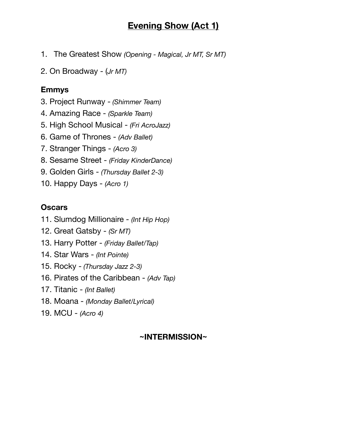## **Evening Show (Act 1)**

1. The Greatest Show *(Opening - Magical, Jr MT, Sr MT)* 

2. On Broadway - (*Jr MT)*

#### **Emmys**

3. Project Runway - *(Shimmer Team)*

- 4. Amazing Race *(Sparkle Team)*
- 5. High School Musical *(Fri AcroJazz)*
- 6. Game of Thrones *(Adv Ballet)*
- 7. Stranger Things *(Acro 3)*
- 8. Sesame Street *(Friday KinderDance)*
- 9. Golden Girls *(Thursday Ballet 2-3)*
- 10. Happy Days *(Acro 1)*

#### **Oscars**

- 11. Slumdog Millionaire *(Int Hip Hop)*
- 12. Great Gatsby *(Sr MT)*
- 13. Harry Potter *(Friday Ballet/Tap)*
- 14. Star Wars *(Int Pointe)*
- 15. Rocky - *(Thursday Jazz 2-3)*
- 16. Pirates of the Caribbean *(Adv Tap)*
- 17. Titanic *(Int Ballet)*
- 18. Moana *(Monday Ballet/Lyrical)*
- 19. MCU *(Acro 4)*

#### **~INTERMISSION~**